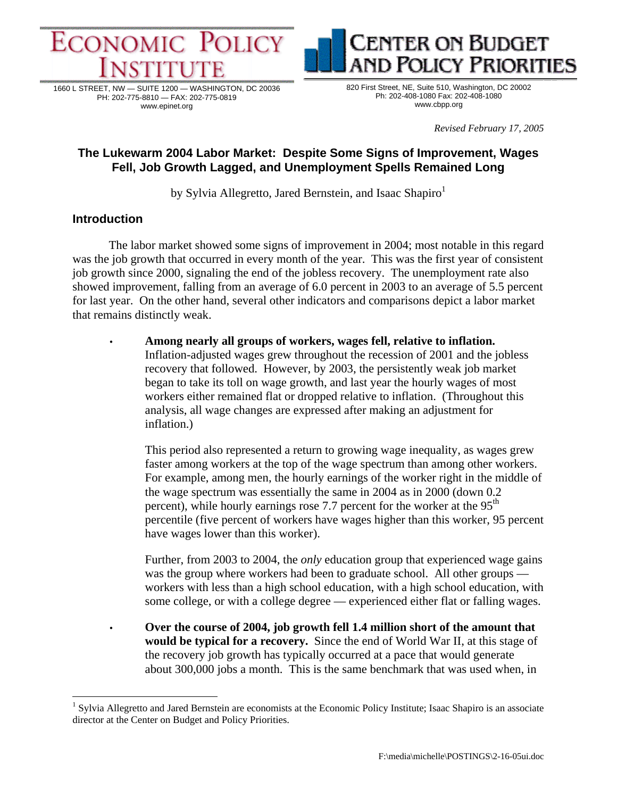

1660 L STREET, NW — SUITE 1200 — WASHINGTON, DC 20036 PH: 202-775-8810 — FAX: 202-775-0819 www.epinet.org



**ENTER ON BUDGET** 

*Revised February 17, 2005* 

**OLICY PRIORITIES** 

# **The Lukewarm 2004 Labor Market: Despite Some Signs of Improvement, Wages Fell, Job Growth Lagged, and Unemployment Spells Remained Long**

by Sylvia Allegretto, Jared Bernstein, and Isaac Shapiro<sup>1</sup>

## **Introduction**

 $\overline{a}$ 

The labor market showed some signs of improvement in 2004; most notable in this regard was the job growth that occurred in every month of the year. This was the first year of consistent job growth since 2000, signaling the end of the jobless recovery. The unemployment rate also showed improvement, falling from an average of 6.0 percent in 2003 to an average of 5.5 percent for last year. On the other hand, several other indicators and comparisons depict a labor market that remains distinctly weak.

• **Among nearly all groups of workers, wages fell, relative to inflation.**  Inflation-adjusted wages grew throughout the recession of 2001 and the jobless recovery that followed. However, by 2003, the persistently weak job market began to take its toll on wage growth, and last year the hourly wages of most workers either remained flat or dropped relative to inflation. (Throughout this analysis, all wage changes are expressed after making an adjustment for inflation.)

 This period also represented a return to growing wage inequality, as wages grew faster among workers at the top of the wage spectrum than among other workers. For example, among men, the hourly earnings of the worker right in the middle of the wage spectrum was essentially the same in 2004 as in 2000 (down 0.2 percent), while hourly earnings rose 7.7 percent for the worker at the  $95<sup>th</sup>$ percentile (five percent of workers have wages higher than this worker, 95 percent have wages lower than this worker).

Further, from 2003 to 2004, the *only* education group that experienced wage gains was the group where workers had been to graduate school. All other groups workers with less than a high school education, with a high school education, with some college, or with a college degree — experienced either flat or falling wages.

• **Over the course of 2004, job growth fell 1.4 million short of the amount that would be typical for a recovery.** Since the end of World War II, at this stage of the recovery job growth has typically occurred at a pace that would generate about 300,000 jobs a month. This is the same benchmark that was used when, in

<sup>&</sup>lt;sup>1</sup> Sylvia Allegretto and Jared Bernstein are economists at the Economic Policy Institute; Isaac Shapiro is an associate director at the Center on Budget and Policy Priorities.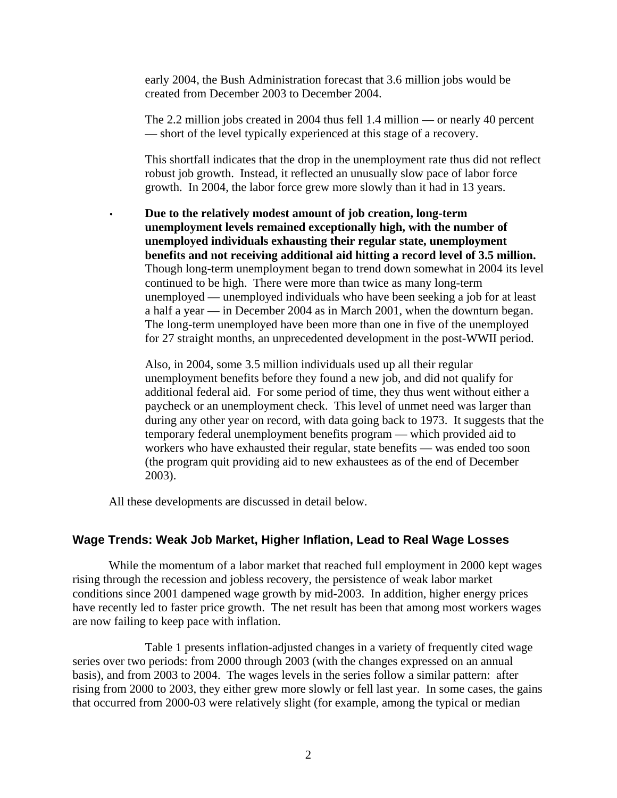early 2004, the Bush Administration forecast that 3.6 million jobs would be created from December 2003 to December 2004.

 The 2.2 million jobs created in 2004 thus fell 1.4 million — or nearly 40 percent — short of the level typically experienced at this stage of a recovery.

 This shortfall indicates that the drop in the unemployment rate thus did not reflect robust job growth. Instead, it reflected an unusually slow pace of labor force growth. In 2004, the labor force grew more slowly than it had in 13 years.

• **Due to the relatively modest amount of job creation, long-term unemployment levels remained exceptionally high, with the number of unemployed individuals exhausting their regular state, unemployment benefits and not receiving additional aid hitting a record level of 3.5 million.** Though long-term unemployment began to trend down somewhat in 2004 its level continued to be high. There were more than twice as many long-term unemployed — unemployed individuals who have been seeking a job for at least a half a year — in December 2004 as in March 2001, when the downturn began. The long-term unemployed have been more than one in five of the unemployed for 27 straight months, an unprecedented development in the post-WWII period.

 Also, in 2004, some 3.5 million individuals used up all their regular unemployment benefits before they found a new job, and did not qualify for additional federal aid. For some period of time, they thus went without either a paycheck or an unemployment check. This level of unmet need was larger than during any other year on record, with data going back to 1973. It suggests that the temporary federal unemployment benefits program — which provided aid to workers who have exhausted their regular, state benefits — was ended too soon (the program quit providing aid to new exhaustees as of the end of December 2003).

All these developments are discussed in detail below.

## **Wage Trends: Weak Job Market, Higher Inflation, Lead to Real Wage Losses**

While the momentum of a labor market that reached full employment in 2000 kept wages rising through the recession and jobless recovery, the persistence of weak labor market conditions since 2001 dampened wage growth by mid-2003. In addition, higher energy prices have recently led to faster price growth. The net result has been that among most workers wages are now failing to keep pace with inflation.

 Table 1 presents inflation-adjusted changes in a variety of frequently cited wage series over two periods: from 2000 through 2003 (with the changes expressed on an annual basis), and from 2003 to 2004. The wages levels in the series follow a similar pattern: after rising from 2000 to 2003, they either grew more slowly or fell last year. In some cases, the gains that occurred from 2000-03 were relatively slight (for example, among the typical or median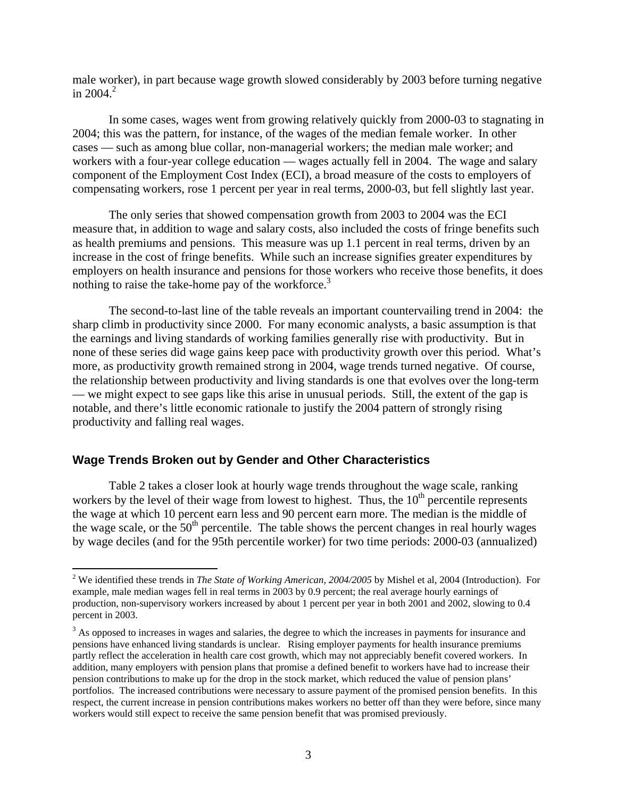male worker), in part because wage growth slowed considerably by 2003 before turning negative in  $2004.<sup>2</sup>$ 

In some cases, wages went from growing relatively quickly from 2000-03 to stagnating in 2004; this was the pattern, for instance, of the wages of the median female worker. In other cases — such as among blue collar, non-managerial workers; the median male worker; and workers with a four-year college education — wages actually fell in 2004. The wage and salary component of the Employment Cost Index (ECI), a broad measure of the costs to employers of compensating workers, rose 1 percent per year in real terms, 2000-03, but fell slightly last year.

The only series that showed compensation growth from 2003 to 2004 was the ECI measure that, in addition to wage and salary costs, also included the costs of fringe benefits such as health premiums and pensions. This measure was up 1.1 percent in real terms, driven by an increase in the cost of fringe benefits. While such an increase signifies greater expenditures by employers on health insurance and pensions for those workers who receive those benefits, it does nothing to raise the take-home pay of the workforce.<sup>3</sup>

The second-to-last line of the table reveals an important countervailing trend in 2004: the sharp climb in productivity since 2000. For many economic analysts, a basic assumption is that the earnings and living standards of working families generally rise with productivity. But in none of these series did wage gains keep pace with productivity growth over this period. What's more, as productivity growth remained strong in 2004, wage trends turned negative. Of course, the relationship between productivity and living standards is one that evolves over the long-term — we might expect to see gaps like this arise in unusual periods. Still, the extent of the gap is notable, and there's little economic rationale to justify the 2004 pattern of strongly rising productivity and falling real wages.

### **Wage Trends Broken out by Gender and Other Characteristics**

 $\overline{a}$ 

Table 2 takes a closer look at hourly wage trends throughout the wage scale, ranking workers by the level of their wage from lowest to highest. Thus, the  $10<sup>th</sup>$  percentile represents the wage at which 10 percent earn less and 90 percent earn more. The median is the middle of the wage scale, or the  $50<sup>th</sup>$  percentile. The table shows the percent changes in real hourly wages by wage deciles (and for the 95th percentile worker) for two time periods: 2000-03 (annualized)

<sup>&</sup>lt;sup>2</sup> We identified these trends in *The State of Working American, 2004/2005* by Mishel et al, 2004 (Introduction). For example, male median wages fell in real terms in 2003 by 0.9 percent; the real average hourly earnings of production, non-supervisory workers increased by about 1 percent per year in both 2001 and 2002, slowing to 0.4 percent in 2003.

 $3$  As opposed to increases in wages and salaries, the degree to which the increases in payments for insurance and pensions have enhanced living standards is unclear. Rising employer payments for health insurance premiums partly reflect the acceleration in health care cost growth, which may not appreciably benefit covered workers. In addition, many employers with pension plans that promise a defined benefit to workers have had to increase their pension contributions to make up for the drop in the stock market, which reduced the value of pension plans' portfolios. The increased contributions were necessary to assure payment of the promised pension benefits. In this respect, the current increase in pension contributions makes workers no better off than they were before, since many workers would still expect to receive the same pension benefit that was promised previously.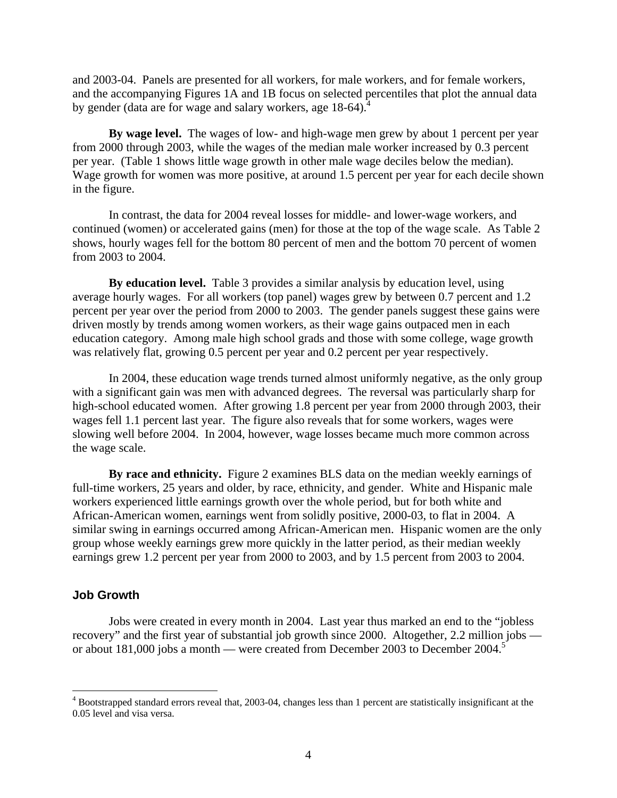and 2003-04. Panels are presented for all workers, for male workers, and for female workers, and the accompanying Figures 1A and 1B focus on selected percentiles that plot the annual data by gender (data are for wage and salary workers, age 18-64).<sup>4</sup>

**By wage level.** The wages of low- and high-wage men grew by about 1 percent per year from 2000 through 2003, while the wages of the median male worker increased by 0.3 percent per year. (Table 1 shows little wage growth in other male wage deciles below the median). Wage growth for women was more positive, at around 1.5 percent per year for each decile shown in the figure.

In contrast, the data for 2004 reveal losses for middle- and lower-wage workers, and continued (women) or accelerated gains (men) for those at the top of the wage scale. As Table 2 shows, hourly wages fell for the bottom 80 percent of men and the bottom 70 percent of women from 2003 to 2004.

**By education level.** Table 3 provides a similar analysis by education level, using average hourly wages. For all workers (top panel) wages grew by between 0.7 percent and 1.2 percent per year over the period from 2000 to 2003. The gender panels suggest these gains were driven mostly by trends among women workers, as their wage gains outpaced men in each education category. Among male high school grads and those with some college, wage growth was relatively flat, growing 0.5 percent per year and 0.2 percent per year respectively.

In 2004, these education wage trends turned almost uniformly negative, as the only group with a significant gain was men with advanced degrees. The reversal was particularly sharp for high-school educated women. After growing 1.8 percent per year from 2000 through 2003, their wages fell 1.1 percent last year. The figure also reveals that for some workers, wages were slowing well before 2004. In 2004, however, wage losses became much more common across the wage scale.

**By race and ethnicity.** Figure 2 examines BLS data on the median weekly earnings of full-time workers, 25 years and older, by race, ethnicity, and gender. White and Hispanic male workers experienced little earnings growth over the whole period, but for both white and African-American women, earnings went from solidly positive, 2000-03, to flat in 2004. A similar swing in earnings occurred among African-American men. Hispanic women are the only group whose weekly earnings grew more quickly in the latter period, as their median weekly earnings grew 1.2 percent per year from 2000 to 2003, and by 1.5 percent from 2003 to 2004.

#### **Job Growth**

1

Jobs were created in every month in 2004. Last year thus marked an end to the "jobless recovery" and the first year of substantial job growth since 2000. Altogether, 2.2 million jobs or about 181,000 jobs a month — were created from December 2003 to December 2004.<sup>5</sup>

<sup>&</sup>lt;sup>4</sup> Bootstrapped standard errors reveal that, 2003-04, changes less than 1 percent are statistically insignificant at the 0.05 level and visa versa.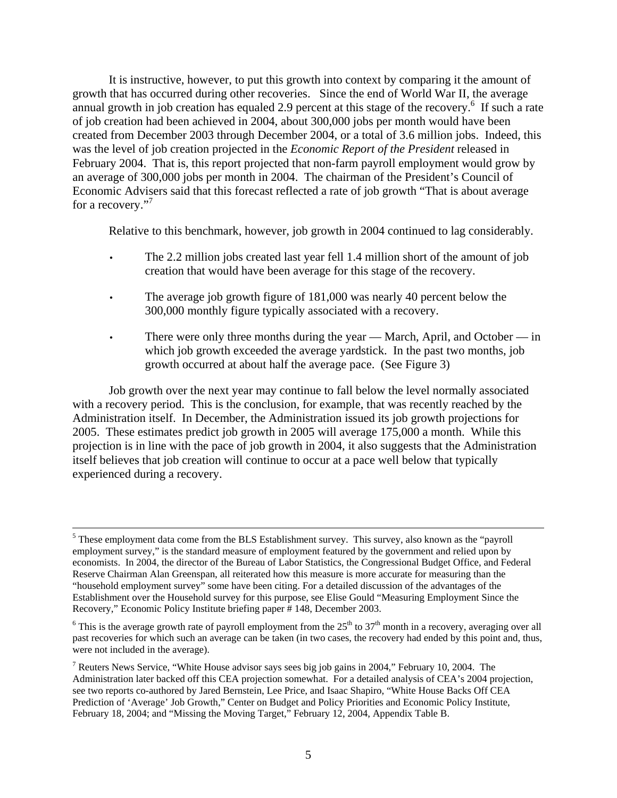It is instructive, however, to put this growth into context by comparing it the amount of growth that has occurred during other recoveries. Since the end of World War II, the average annual growth in job creation has equaled 2.9 percent at this stage of the recovery.<sup>6</sup> If such a rate of job creation had been achieved in 2004, about 300,000 jobs per month would have been created from December 2003 through December 2004, or a total of 3.6 million jobs. Indeed, this was the level of job creation projected in the *Economic Report of the President* released in February 2004. That is, this report projected that non-farm payroll employment would grow by an average of 300,000 jobs per month in 2004. The chairman of the President's Council of Economic Advisers said that this forecast reflected a rate of job growth "That is about average for a recovery."<sup>7</sup>

Relative to this benchmark, however, job growth in 2004 continued to lag considerably.

- The 2.2 million jobs created last year fell 1.4 million short of the amount of job creation that would have been average for this stage of the recovery.
- The average job growth figure of 181,000 was nearly 40 percent below the 300,000 monthly figure typically associated with a recovery.
- There were only three months during the year March, April, and October in which job growth exceeded the average yardstick. In the past two months, job growth occurred at about half the average pace. (See Figure 3)

Job growth over the next year may continue to fall below the level normally associated with a recovery period. This is the conclusion, for example, that was recently reached by the Administration itself. In December, the Administration issued its job growth projections for 2005. These estimates predict job growth in 2005 will average 175,000 a month. While this projection is in line with the pace of job growth in 2004, it also suggests that the Administration itself believes that job creation will continue to occur at a pace well below that typically experienced during a recovery.

 $\frac{1}{5}$ <sup>5</sup> These employment data come from the BLS Establishment survey. This survey, also known as the "payroll" employment survey," is the standard measure of employment featured by the government and relied upon by economists. In 2004, the director of the Bureau of Labor Statistics, the Congressional Budget Office, and Federal Reserve Chairman Alan Greenspan, all reiterated how this measure is more accurate for measuring than the "household employment survey" some have been citing. For a detailed discussion of the advantages of the Establishment over the Household survey for this purpose, see Elise Gould "Measuring Employment Since the Recovery," Economic Policy Institute briefing paper # 148, December 2003.

<sup>&</sup>lt;sup>6</sup> This is the average growth rate of payroll employment from the  $25<sup>th</sup>$  to  $37<sup>th</sup>$  month in a recovery, averaging over all past recoveries for which such an average can be taken (in two cases, the recovery had ended by this point and, thus, were not included in the average).

<sup>&</sup>lt;sup>7</sup> Reuters News Service, "White House advisor says sees big job gains in 2004," February 10, 2004. The Administration later backed off this CEA projection somewhat. For a detailed analysis of CEA's 2004 projection, see two reports co-authored by Jared Bernstein, Lee Price, and Isaac Shapiro, "White House Backs Off CEA Prediction of 'Average' Job Growth," Center on Budget and Policy Priorities and Economic Policy Institute, February 18, 2004; and "Missing the Moving Target," February 12, 2004, Appendix Table B.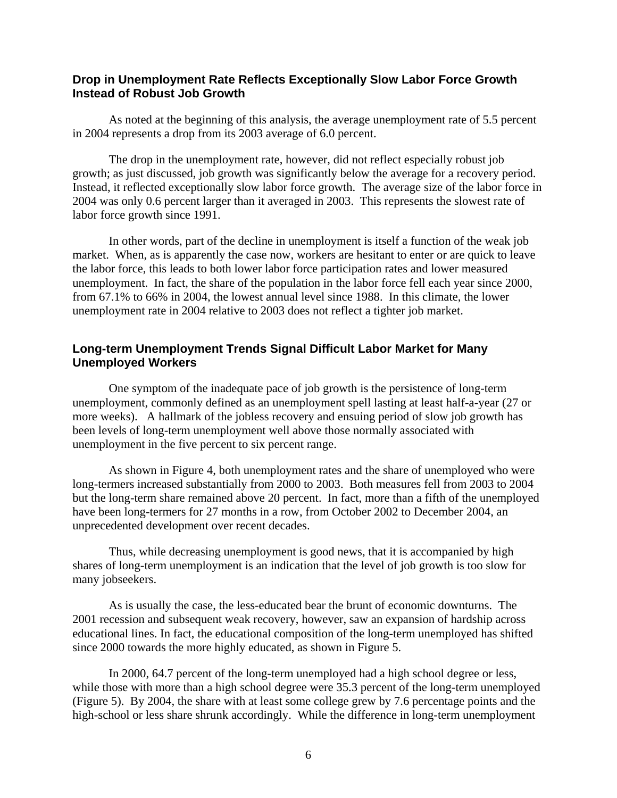## **Drop in Unemployment Rate Reflects Exceptionally Slow Labor Force Growth Instead of Robust Job Growth**

As noted at the beginning of this analysis, the average unemployment rate of 5.5 percent in 2004 represents a drop from its 2003 average of 6.0 percent.

The drop in the unemployment rate, however, did not reflect especially robust job growth; as just discussed, job growth was significantly below the average for a recovery period. Instead, it reflected exceptionally slow labor force growth. The average size of the labor force in 2004 was only 0.6 percent larger than it averaged in 2003. This represents the slowest rate of labor force growth since 1991.

In other words, part of the decline in unemployment is itself a function of the weak job market. When, as is apparently the case now, workers are hesitant to enter or are quick to leave the labor force, this leads to both lower labor force participation rates and lower measured unemployment. In fact, the share of the population in the labor force fell each year since 2000, from 67.1% to 66% in 2004, the lowest annual level since 1988. In this climate, the lower unemployment rate in 2004 relative to 2003 does not reflect a tighter job market.

## **Long-term Unemployment Trends Signal Difficult Labor Market for Many Unemployed Workers**

One symptom of the inadequate pace of job growth is the persistence of long-term unemployment, commonly defined as an unemployment spell lasting at least half-a-year (27 or more weeks). A hallmark of the jobless recovery and ensuing period of slow job growth has been levels of long-term unemployment well above those normally associated with unemployment in the five percent to six percent range.

As shown in Figure 4, both unemployment rates and the share of unemployed who were long-termers increased substantially from 2000 to 2003. Both measures fell from 2003 to 2004 but the long-term share remained above 20 percent. In fact, more than a fifth of the unemployed have been long-termers for 27 months in a row, from October 2002 to December 2004, an unprecedented development over recent decades.

Thus, while decreasing unemployment is good news, that it is accompanied by high shares of long-term unemployment is an indication that the level of job growth is too slow for many jobseekers.

As is usually the case, the less-educated bear the brunt of economic downturns. The 2001 recession and subsequent weak recovery, however, saw an expansion of hardship across educational lines. In fact, the educational composition of the long-term unemployed has shifted since 2000 towards the more highly educated, as shown in Figure 5.

In 2000, 64.7 percent of the long-term unemployed had a high school degree or less, while those with more than a high school degree were 35.3 percent of the long-term unemployed (Figure 5). By 2004, the share with at least some college grew by 7.6 percentage points and the high-school or less share shrunk accordingly. While the difference in long-term unemployment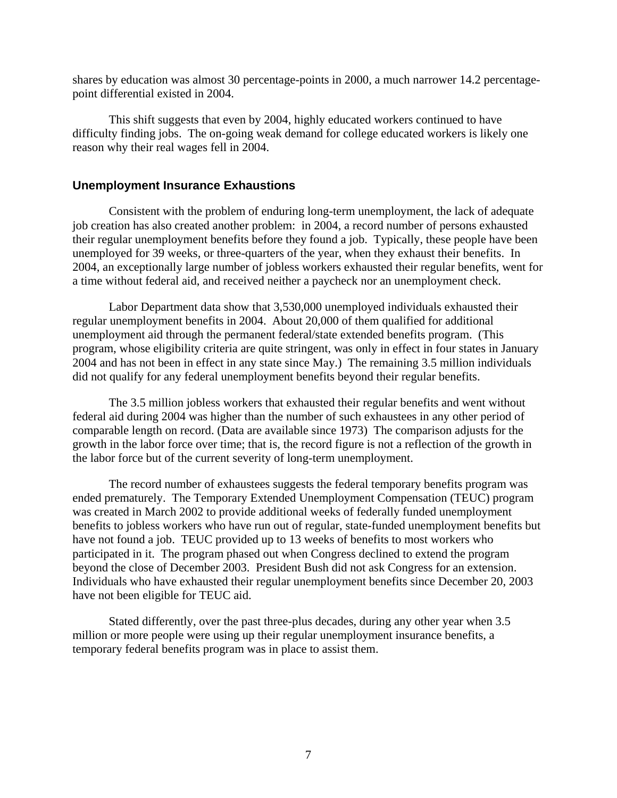shares by education was almost 30 percentage-points in 2000, a much narrower 14.2 percentagepoint differential existed in 2004.

This shift suggests that even by 2004, highly educated workers continued to have difficulty finding jobs. The on-going weak demand for college educated workers is likely one reason why their real wages fell in 2004.

### **Unemployment Insurance Exhaustions**

Consistent with the problem of enduring long-term unemployment, the lack of adequate job creation has also created another problem: in 2004, a record number of persons exhausted their regular unemployment benefits before they found a job. Typically, these people have been unemployed for 39 weeks, or three-quarters of the year, when they exhaust their benefits. In 2004, an exceptionally large number of jobless workers exhausted their regular benefits, went for a time without federal aid, and received neither a paycheck nor an unemployment check.

Labor Department data show that 3,530,000 unemployed individuals exhausted their regular unemployment benefits in 2004. About 20,000 of them qualified for additional unemployment aid through the permanent federal/state extended benefits program. (This program, whose eligibility criteria are quite stringent, was only in effect in four states in January 2004 and has not been in effect in any state since May.) The remaining 3.5 million individuals did not qualify for any federal unemployment benefits beyond their regular benefits.

The 3.5 million jobless workers that exhausted their regular benefits and went without federal aid during 2004 was higher than the number of such exhaustees in any other period of comparable length on record. (Data are available since 1973) The comparison adjusts for the growth in the labor force over time; that is, the record figure is not a reflection of the growth in the labor force but of the current severity of long-term unemployment.

The record number of exhaustees suggests the federal temporary benefits program was ended prematurely. The Temporary Extended Unemployment Compensation (TEUC) program was created in March 2002 to provide additional weeks of federally funded unemployment benefits to jobless workers who have run out of regular, state-funded unemployment benefits but have not found a job. TEUC provided up to 13 weeks of benefits to most workers who participated in it. The program phased out when Congress declined to extend the program beyond the close of December 2003. President Bush did not ask Congress for an extension. Individuals who have exhausted their regular unemployment benefits since December 20, 2003 have not been eligible for TEUC aid.

Stated differently, over the past three-plus decades, during any other year when 3.5 million or more people were using up their regular unemployment insurance benefits, a temporary federal benefits program was in place to assist them.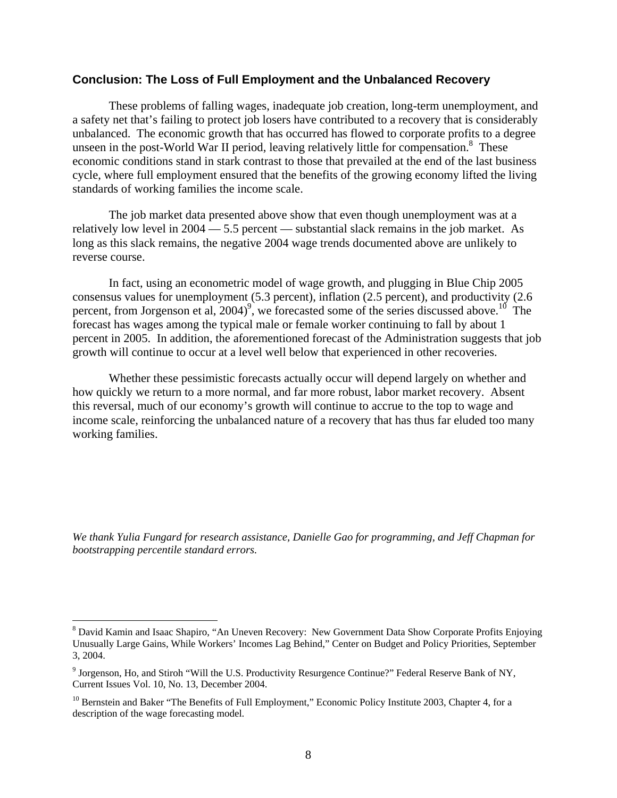### **Conclusion: The Loss of Full Employment and the Unbalanced Recovery**

These problems of falling wages, inadequate job creation, long-term unemployment, and a safety net that's failing to protect job losers have contributed to a recovery that is considerably unbalanced. The economic growth that has occurred has flowed to corporate profits to a degree unseen in the post-World War II period, leaving relatively little for compensation.<sup>8</sup> These economic conditions stand in stark contrast to those that prevailed at the end of the last business cycle, where full employment ensured that the benefits of the growing economy lifted the living standards of working families the income scale.

The job market data presented above show that even though unemployment was at a relatively low level in 2004 — 5.5 percent — substantial slack remains in the job market. As long as this slack remains, the negative 2004 wage trends documented above are unlikely to reverse course.

In fact, using an econometric model of wage growth, and plugging in Blue Chip 2005 consensus values for unemployment (5.3 percent), inflation (2.5 percent), and productivity (2.6 percent, from Jorgenson et al, 2004)<sup>9</sup>, we forecasted some of the series discussed above.<sup>10</sup> The forecast has wages among the typical male or female worker continuing to fall by about 1 percent in 2005. In addition, the aforementioned forecast of the Administration suggests that job growth will continue to occur at a level well below that experienced in other recoveries.

Whether these pessimistic forecasts actually occur will depend largely on whether and how quickly we return to a more normal, and far more robust, labor market recovery. Absent this reversal, much of our economy's growth will continue to accrue to the top to wage and income scale, reinforcing the unbalanced nature of a recovery that has thus far eluded too many working families.

*We thank Yulia Fungard for research assistance, Danielle Gao for programming, and Jeff Chapman for bootstrapping percentile standard errors.* 

 $\overline{a}$ 

<sup>&</sup>lt;sup>8</sup> David Kamin and Isaac Shapiro, "An Uneven Recovery: New Government Data Show Corporate Profits Enjoying Unusually Large Gains, While Workers' Incomes Lag Behind," Center on Budget and Policy Priorities, September 3, 2004.

 $9$  Jorgenson, Ho, and Stiroh "Will the U.S. Productivity Resurgence Continue?" Federal Reserve Bank of NY, Current Issues Vol. 10, No. 13, December 2004.

<sup>&</sup>lt;sup>10</sup> Bernstein and Baker "The Benefits of Full Employment," Economic Policy Institute 2003, Chapter 4, for a description of the wage forecasting model.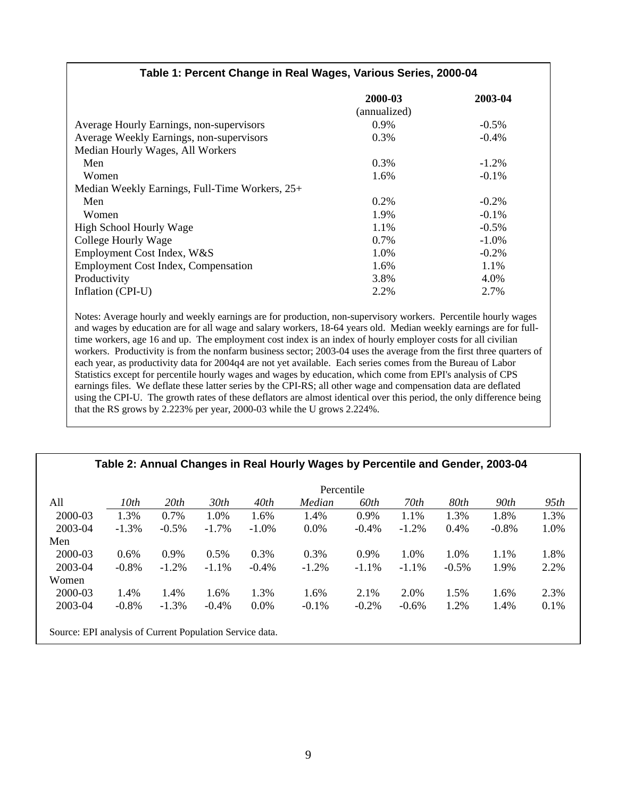|                                                | 2000-03      | 2003-04  |
|------------------------------------------------|--------------|----------|
|                                                | (annualized) |          |
| Average Hourly Earnings, non-supervisors       | 0.9%         | $-0.5\%$ |
| Average Weekly Earnings, non-supervisors       | 0.3%         | $-0.4%$  |
| Median Hourly Wages, All Workers               |              |          |
| Men                                            | 0.3%         | $-1.2%$  |
| Women                                          | 1.6%         | $-0.1%$  |
| Median Weekly Earnings, Full-Time Workers, 25+ |              |          |
| Men                                            | 0.2%         | $-0.2\%$ |
| Women                                          | 1.9%         | $-0.1%$  |
| High School Hourly Wage                        | 1.1%         | $-0.5%$  |
| College Hourly Wage                            | 0.7%         | $-1.0\%$ |
| Employment Cost Index, W&S                     | 1.0%         | $-0.2%$  |
| <b>Employment Cost Index, Compensation</b>     | 1.6%         | 1.1%     |
| Productivity                                   | 3.8%         | 4.0%     |
| Inflation (CPI-U)                              | 2.2%         | 2.7%     |

**Table 1: Percent Change in Real Wages, Various Series, 2000-04** 

Notes: Average hourly and weekly earnings are for production, non-supervisory workers. Percentile hourly wages and wages by education are for all wage and salary workers, 18-64 years old. Median weekly earnings are for fulltime workers, age 16 and up. The employment cost index is an index of hourly employer costs for all civilian workers. Productivity is from the nonfarm business sector; 2003-04 uses the average from the first three quarters of each year, as productivity data for 2004q4 are not yet available. Each series comes from the Bureau of Labor Statistics except for percentile hourly wages and wages by education, which come from EPI's analysis of CPS earnings files. We deflate these latter series by the CPI-RS; all other wage and compensation data are deflated using the CPI-U. The growth rates of these deflators are almost identical over this period, the only difference being that the RS grows by 2.223% per year, 2000-03 while the U grows 2.224%.

#### **Table 2: Annual Changes in Real Hourly Wages by Percentile and Gender, 2003-04**

|                                                          | Percentile |          |                  |          |          |          |          |          |          |      |
|----------------------------------------------------------|------------|----------|------------------|----------|----------|----------|----------|----------|----------|------|
| All                                                      | 10th       | 20th     | 30 <sub>th</sub> | 40th     | Median   | 60th     | 70th     | 80th     | 90th     | 95th |
| 2000-03                                                  | 1.3%       | 0.7%     | 1.0%             | 1.6%     | 1.4%     | 0.9%     | 1.1%     | 1.3%     | 1.8%     | 1.3% |
| 2003-04                                                  | $-1.3%$    | $-0.5\%$ | $-1.7\%$         | $-1.0%$  | 0.0%     | $-0.4\%$ | $-1.2%$  | 0.4%     | $-0.8\%$ | 1.0% |
| Men                                                      |            |          |                  |          |          |          |          |          |          |      |
| 2000-03                                                  | $0.6\%$    | 0.9%     | 0.5%             | 0.3%     | 0.3%     | 0.9%     | 1.0%     | 1.0%     | 1.1%     | 1.8% |
| 2003-04                                                  | $-0.8\%$   | $-1.2%$  | $-1.1\%$         | $-0.4\%$ | $-1.2%$  | $-1.1\%$ | $-1.1\%$ | $-0.5\%$ | 1.9%     | 2.2% |
| Women                                                    |            |          |                  |          |          |          |          |          |          |      |
| 2000-03                                                  | 1.4%       | 1.4%     | 1.6%             | 1.3%     | 1.6%     | 2.1%     | 2.0%     | 1.5%     | 1.6%     | 2.3% |
| 2003-04                                                  | $-0.8\%$   | $-1.3%$  | $-0.4\%$         | $0.0\%$  | $-0.1\%$ | $-0.2\%$ | $-0.6\%$ | 1.2%     | 1.4%     | 0.1% |
|                                                          |            |          |                  |          |          |          |          |          |          |      |
| Source: EPI analysis of Current Population Service data. |            |          |                  |          |          |          |          |          |          |      |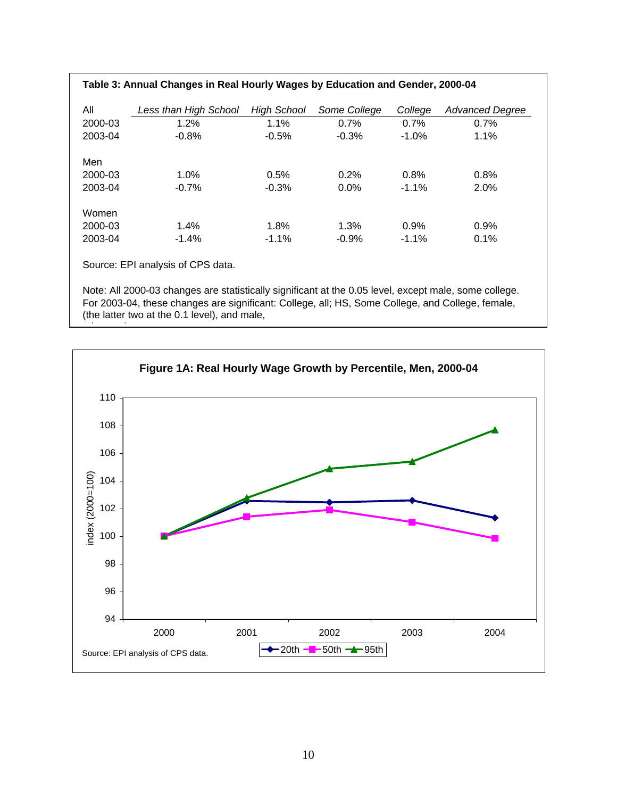| Table 3: Annual Changes in Real Hourly Wages by Education and Gender, 2000-04 |                       |             |              |          |                        |  |
|-------------------------------------------------------------------------------|-----------------------|-------------|--------------|----------|------------------------|--|
| All                                                                           | Less than High School | High School | Some College | College  | <b>Advanced Dearee</b> |  |
| 2000-03                                                                       | 1.2%                  | 1.1%        | 0.7%         | 0.7%     | 0.7%                   |  |
| 2003-04                                                                       | $-0.8%$               | $-0.5%$     | $-0.3%$      | $-1.0\%$ | 1.1%                   |  |
| Men                                                                           |                       |             |              |          |                        |  |
| 2000-03                                                                       | 1.0%                  | 0.5%        | 0.2%         | 0.8%     | 0.8%                   |  |
| 2003-04                                                                       | $-0.7\%$              | $-0.3%$     | $0.0\%$      | $-1.1%$  | 2.0%                   |  |
| Women                                                                         |                       |             |              |          |                        |  |
| 2000-03                                                                       | $1.4\%$               | 1.8%        | 1.3%         | 0.9%     | 0.9%                   |  |
| 2003-04                                                                       | $-1.4\%$              | $-1.1%$     | $-0.9%$      | $-1.1%$  | 0.1%                   |  |
| Course: EDI anglueis of CDC data                                              |                       |             |              |          |                        |  |

Source: EPI analysis of CPS data.

 $\overline{\phantom{a}}$ 

Note: All 2000-03 changes are statistically significant at the 0.05 level, except male, some college. For 2003-04, these changes are significant: College, all; HS, Some College, and College, female, (the latter two at the 0.1 level), and male,

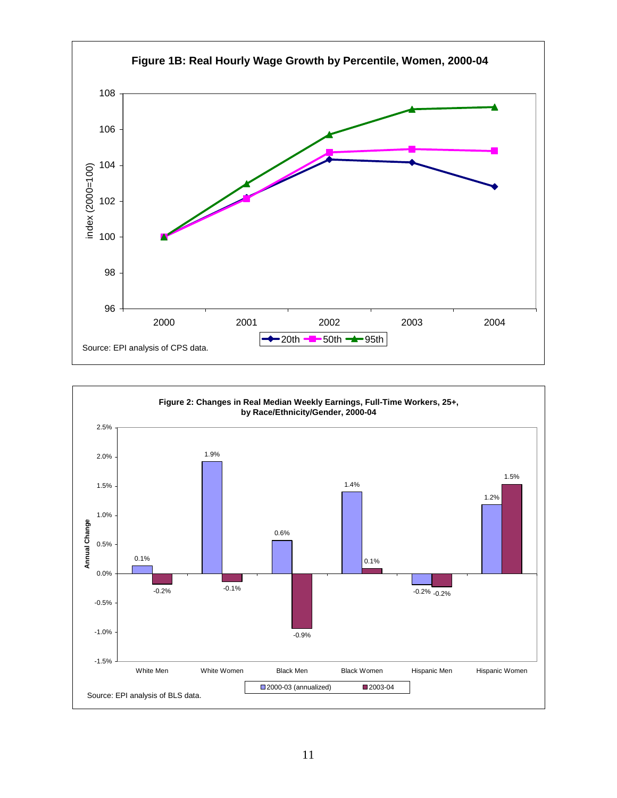

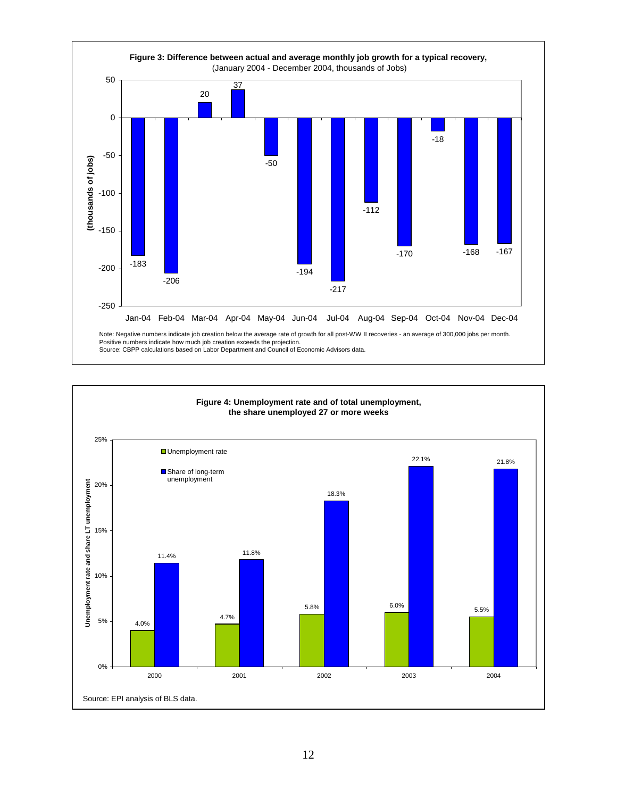